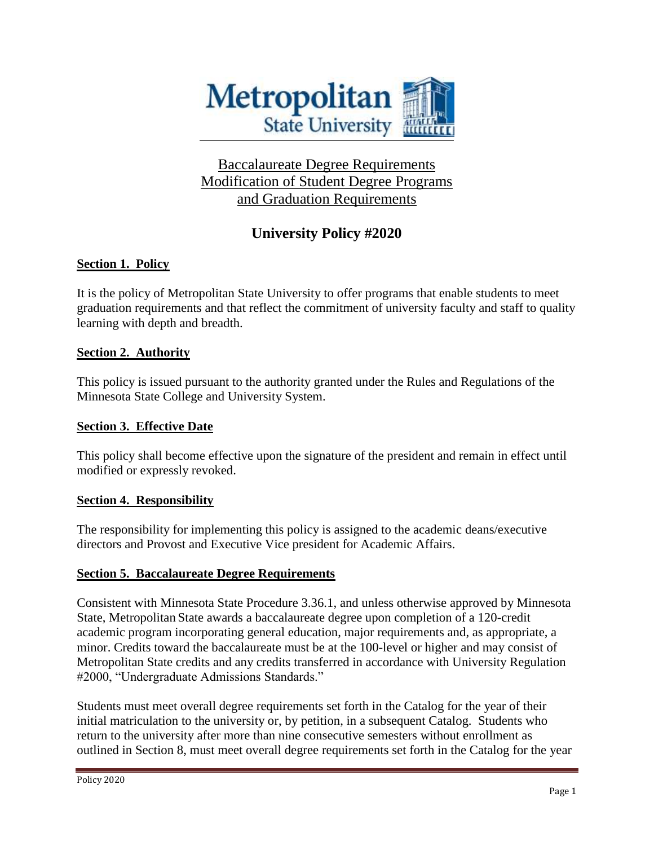

# Baccalaureate Degree Requirements Modification of Student Degree Programs and Graduation Requirements

# **University Policy #2020**

## **Section 1. Policy**

It is the policy of Metropolitan State University to offer programs that enable students to meet graduation requirements and that reflect the commitment of university faculty and staff to quality learning with depth and breadth.

## **Section 2. Authority**

This policy is issued pursuant to the authority granted under the Rules and Regulations of the Minnesota State College and University System.

### **Section 3. Effective Date**

This policy shall become effective upon the signature of the president and remain in effect until modified or expressly revoked.

### **Section 4. Responsibility**

The responsibility for implementing this policy is assigned to the academic deans/executive directors and Provost and Executive Vice president for Academic Affairs.

### **Section 5. Baccalaureate Degree Requirements**

Consistent with Minnesota State Procedure 3.36.1, and unless otherwise approved by Minnesota State, Metropolitan State awards a baccalaureate degree upon completion of a 120-credit academic program incorporating general education, major requirements and, as appropriate, a minor. Credits toward the baccalaureate must be at the 100-level or higher and may consist of Metropolitan State credits and any credits transferred in accordance with University Regulation #2000, "Undergraduate Admissions Standards."

Students must meet overall degree requirements set forth in the Catalog for the year of their initial matriculation to the university or, by petition, in a subsequent Catalog. Students who return to the university after more than nine consecutive semesters without enrollment as outlined in Section 8, must meet overall degree requirements set forth in the Catalog for the year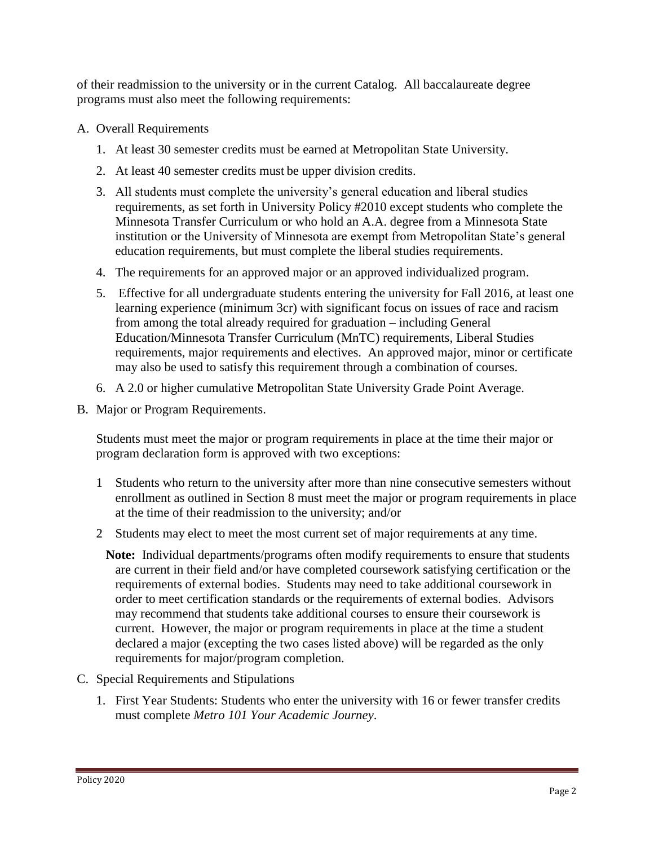of their readmission to the university or in the current Catalog. All baccalaureate degree programs must also meet the following requirements:

- A. Overall Requirements
	- 1. At least 30 semester credits must be earned at Metropolitan State University.
	- 2. At least 40 semester credits must be upper division credits.
	- 3. All students must complete the university's general education and liberal studies requirements, as set forth in University Policy #2010 except students who complete the Minnesota Transfer Curriculum or who hold an A.A. degree from a Minnesota State institution or the University of Minnesota are exempt from Metropolitan State's general education requirements, but must complete the liberal studies requirements.
	- 4. The requirements for an approved major or an approved individualized program.
	- 5. Effective for all undergraduate students entering the university for Fall 2016, at least one learning experience (minimum 3cr) with significant focus on issues of race and racism from among the total already required for graduation – including General Education/Minnesota Transfer Curriculum (MnTC) requirements, Liberal Studies requirements, major requirements and electives. An approved major, minor or certificate may also be used to satisfy this requirement through a combination of courses.
	- 6. A 2.0 or higher cumulative Metropolitan State University Grade Point Average.
- B. Major or Program Requirements.

Students must meet the major or program requirements in place at the time their major or program declaration form is approved with two exceptions:

- 1 Students who return to the university after more than nine consecutive semesters without enrollment as outlined in Section 8 must meet the major or program requirements in place at the time of their readmission to the university; and/or
- 2 Students may elect to meet the most current set of major requirements at any time.

**Note:** Individual departments/programs often modify requirements to ensure that students are current in their field and/or have completed coursework satisfying certification or the requirements of external bodies. Students may need to take additional coursework in order to meet certification standards or the requirements of external bodies. Advisors may recommend that students take additional courses to ensure their coursework is current. However, the major or program requirements in place at the time a student declared a major (excepting the two cases listed above) will be regarded as the only requirements for major/program completion.

- C. Special Requirements and Stipulations
	- 1. First Year Students: Students who enter the university with 16 or fewer transfer credits must complete *Metro 101 Your Academic Journey*.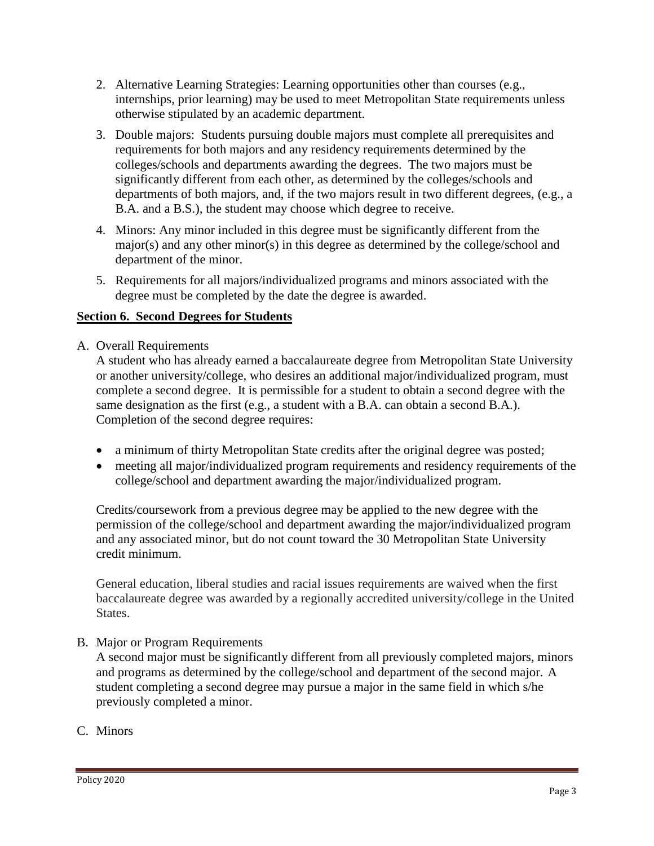- 2. Alternative Learning Strategies: Learning opportunities other than courses (e.g., internships, prior learning) may be used to meet Metropolitan State requirements unless otherwise stipulated by an academic department.
- 3. Double majors: Students pursuing double majors must complete all prerequisites and requirements for both majors and any residency requirements determined by the colleges/schools and departments awarding the degrees. The two majors must be significantly different from each other, as determined by the colleges/schools and departments of both majors, and, if the two majors result in two different degrees, (e.g., a B.A. and a B.S.), the student may choose which degree to receive.
- 4. Minors: Any minor included in this degree must be significantly different from the major(s) and any other minor(s) in this degree as determined by the college/school and department of the minor.
- 5. Requirements for all majors/individualized programs and minors associated with the degree must be completed by the date the degree is awarded.

## **Section 6. Second Degrees for Students**

A. Overall Requirements

A student who has already earned a baccalaureate degree from Metropolitan State University or another university/college, who desires an additional major/individualized program, must complete a second degree. It is permissible for a student to obtain a second degree with the same designation as the first (e.g., a student with a B.A. can obtain a second B.A.). Completion of the second degree requires:

- a minimum of thirty Metropolitan State credits after the original degree was posted;
- meeting all major/individualized program requirements and residency requirements of the college/school and department awarding the major/individualized program.

Credits/coursework from a previous degree may be applied to the new degree with the permission of the college/school and department awarding the major/individualized program and any associated minor, but do not count toward the 30 Metropolitan State University credit minimum.

General education, liberal studies and racial issues requirements are waived when the first baccalaureate degree was awarded by a regionally accredited university/college in the United States.

### B. Major or Program Requirements

A second major must be significantly different from all previously completed majors, minors and programs as determined by the college/school and department of the second major. A student completing a second degree may pursue a major in the same field in which s/he previously completed a minor.

C. Minors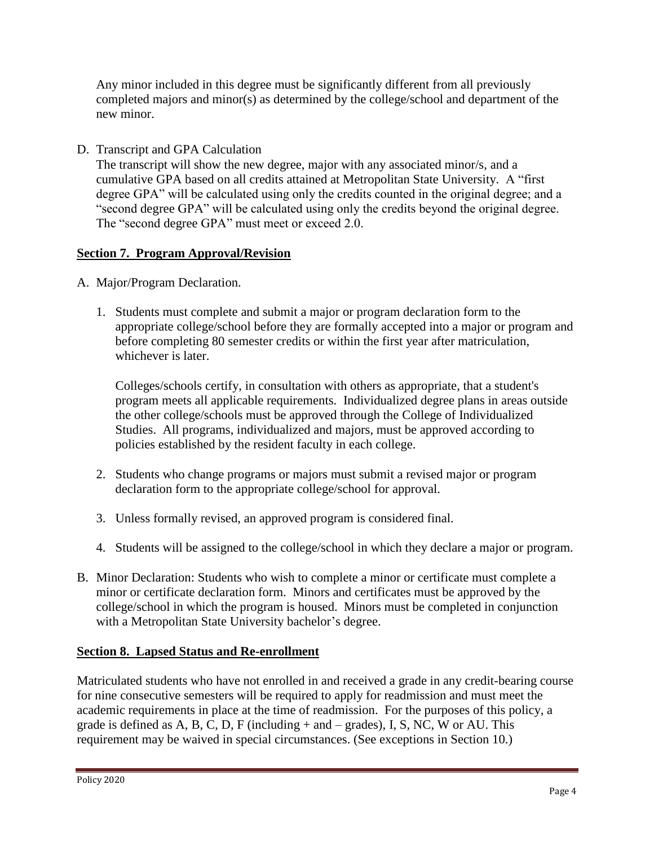Any minor included in this degree must be significantly different from all previously completed majors and minor(s) as determined by the college/school and department of the new minor.

D. Transcript and GPA Calculation

The transcript will show the new degree, major with any associated minor/s, and a cumulative GPA based on all credits attained at Metropolitan State University. A "first degree GPA" will be calculated using only the credits counted in the original degree; and a "second degree GPA" will be calculated using only the credits beyond the original degree. The "second degree GPA" must meet or exceed 2.0.

# **Section 7. Program Approval/Revision**

- A. Major/Program Declaration.
	- 1. Students must complete and submit a major or program declaration form to the appropriate college/school before they are formally accepted into a major or program and before completing 80 semester credits or within the first year after matriculation, whichever is later.

Colleges/schools certify, in consultation with others as appropriate, that a student's program meets all applicable requirements. Individualized degree plans in areas outside the other college/schools must be approved through the College of Individualized Studies. All programs, individualized and majors, must be approved according to policies established by the resident faculty in each college.

- 2. Students who change programs or majors must submit a revised major or program declaration form to the appropriate college/school for approval.
- 3. Unless formally revised, an approved program is considered final.
- 4. Students will be assigned to the college/school in which they declare a major or program.
- B. Minor Declaration: Students who wish to complete a minor or certificate must complete a minor or certificate declaration form. Minors and certificates must be approved by the college/school in which the program is housed. Minors must be completed in conjunction with a Metropolitan State University bachelor's degree.

## **Section 8. Lapsed Status and Re-enrollment**

Matriculated students who have not enrolled in and received a grade in any credit-bearing course for nine consecutive semesters will be required to apply for readmission and must meet the academic requirements in place at the time of readmission. For the purposes of this policy, a grade is defined as A, B, C, D, F (including  $+$  and  $-$  grades), I, S, NC, W or AU. This requirement may be waived in special circumstances. (See exceptions in Section 10.)